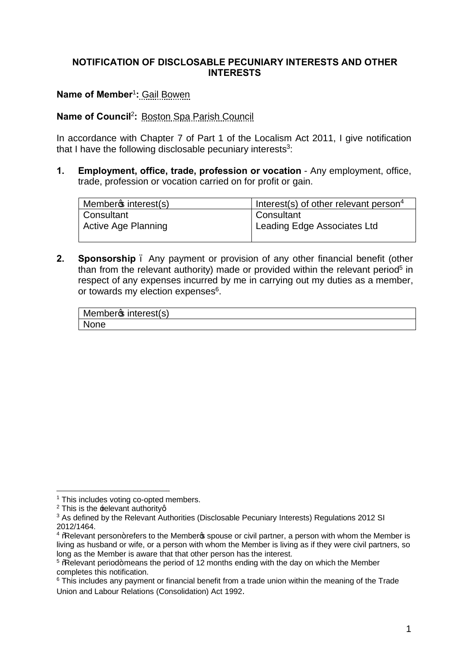## **NOTIFICATION OF DISCLOSABLE PECUNIARY INTERESTS AND OTHER INTERESTS**

## **Name of Member**<sup>1</sup>**:** Gail Bowen

## **Name of Council**<sup>2</sup>**:** Boston Spa Parish Council

In accordance with Chapter 7 of Part 1 of the Localism Act 2011, I give notification that I have the following disclosable pecuniary interests $3$ :

**1. Employment, office, trade, profession or vocation** - Any employment, office, trade, profession or vocation carried on for profit or gain.

| Memberos interest(s)       | Interest(s) of other relevant person <sup>4</sup> |
|----------------------------|---------------------------------------------------|
| l Consultant               | Consultant                                        |
| <b>Active Age Planning</b> | Leading Edge Associates Ltd                       |
|                            |                                                   |

**2. Sponsorship** – Any payment or provision of any other financial benefit (other than from the relevant authority) made or provided within the relevant period<sup>5</sup> in respect of any expenses incurred by me in carrying out my duties as a member, or towards my election expenses<sup>6</sup>.

| Member <sup>s</sup> interest(s) |  |
|---------------------------------|--|
| <b>None</b>                     |  |

<sup>&</sup>lt;sup>1</sup> This includes voting co-opted members.

 $2$  This is the  $\pm$ elevant authorityg.

<sup>&</sup>lt;sup>3</sup> As defined by the Relevant Authorities (Disclosable Pecuniary Interests) Regulations 2012 SI 2012/1464.

 $4$  % Relevant person+refers to the Member  $\frac{1}{2}$  spouse or civil partner, a person with whom the Member is living as husband or wife, or a person with whom the Member is living as if they were civil partners, so long as the Member is aware that that other person has the interest.

 $5$ %Relevant period+means the period of 12 months ending with the day on which the Member completes this notification.

 $6$  This includes any payment or financial benefit from a trade union within the meaning of the Trade Union and Labour Relations (Consolidation) Act 1992.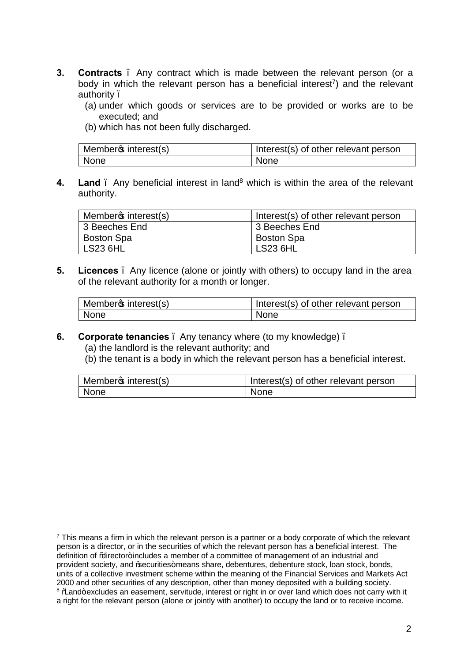- **3. Contracts** . Any contract which is made between the relevant person (or a body in which the relevant person has a beneficial interest<sup>7</sup>) and the relevant authority –
	- (a) under which goods or services are to be provided or works are to be executed; and
	- (b) which has not been fully discharged.

| Memberos interest(s) | Interest(s) of other relevant person |
|----------------------|--------------------------------------|
| None                 | <b>None</b>                          |

**4. Land** . Any beneficial interest in land<sup>8</sup> which is within the area of the relevant authority.

| Memberos interest(s) | Interest(s) of other relevant person |
|----------------------|--------------------------------------|
| 3 Beeches End        | 3 Beeches End                        |
| <b>Boston Spa</b>    | <b>Boston Spa</b>                    |
| LS23 6HL             | <b>LS23 6HL</b>                      |

**5. Licences** – Any licence (alone or jointly with others) to occupy land in the area of the relevant authority for a month or longer.

| Memberos interest(s) | Interest(s) of other relevant person |
|----------------------|--------------------------------------|
| None                 | None                                 |

## **6. Corporate tenancies** – Any tenancy where (to my knowledge) –

- (a) the landlord is the relevant authority; and
- (b) the tenant is a body in which the relevant person has a beneficial interest.

| Member <sup>s</sup> interest(s) | Interest(s) of other relevant person |
|---------------------------------|--------------------------------------|
| None                            | None                                 |

 $<sup>7</sup>$  This means a firm in which the relevant person is a partner or a body corporate of which the relevant</sup> person is a director, or in the securities of which the relevant person has a beneficial interest. The definition of % director+includes a member of a committee of management of an industrial and provident society, and % becurities+ means share, debentures, debenture stock, loan stock, bonds, units of a collective investment scheme within the meaning of the Financial Services and Markets Act 2000 and other securities of any description, other than money deposited with a building society. <sup>8</sup> Mand+excludes an easement, servitude, interest or right in or over land which does not carry with it a right for the relevant person (alone or jointly with another) to occupy the land or to receive income.